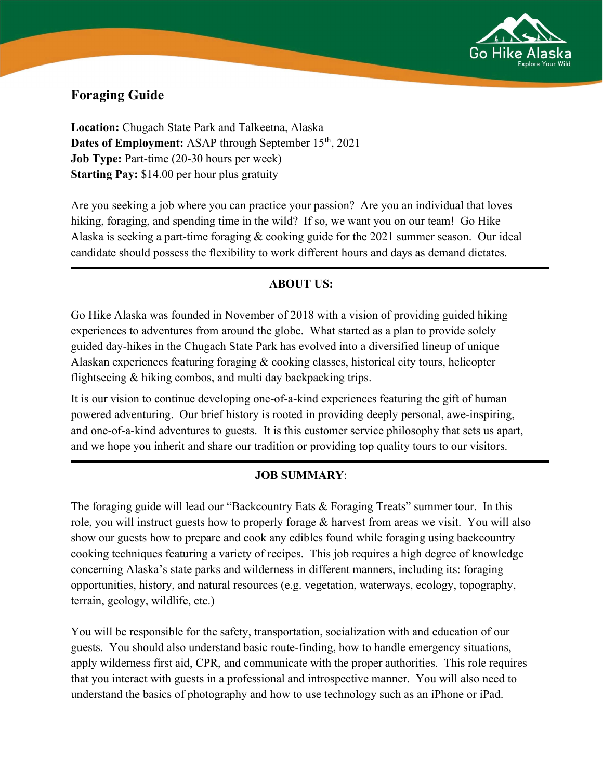

# Foraging Guide

Location: Chugach State Park and Talkeetna, Alaska Dates of Employment: ASAP through September 15<sup>th</sup>, 2021 Job Type: Part-time (20-30 hours per week) Starting Pay: \$14.00 per hour plus gratuity

Are you seeking a job where you can practice your passion? Are you an individual that loves hiking, foraging, and spending time in the wild? If so, we want you on our team! Go Hike Alaska is seeking a part-time foraging & cooking guide for the 2021 summer season. Our ideal candidate should possess the flexibility to work different hours and days as demand dictates.

### **ABOUT US:**

Go Hike Alaska was founded in November of 2018 with a vision of providing guided hiking experiences to adventures from around the globe. What started as a plan to provide solely guided day-hikes in the Chugach State Park has evolved into a diversified lineup of unique Alaskan experiences featuring foraging & cooking classes, historical city tours, helicopter flightseeing & hiking combos, and multi day backpacking trips.

It is our vision to continue developing one-of-a-kind experiences featuring the gift of human powered adventuring. Our brief history is rooted in providing deeply personal, awe-inspiring, and one-of-a-kind adventures to guests. It is this customer service philosophy that sets us apart, and we hope you inherit and share our tradition or providing top quality tours to our visitors.

#### JOB SUMMARY:

The foraging guide will lead our "Backcountry Eats & Foraging Treats" summer tour. In this role, you will instruct guests how to properly forage & harvest from areas we visit. You will also show our guests how to prepare and cook any edibles found while foraging using backcountry cooking techniques featuring a variety of recipes. This job requires a high degree of knowledge concerning Alaska's state parks and wilderness in different manners, including its: foraging opportunities, history, and natural resources (e.g. vegetation, waterways, ecology, topography, terrain, geology, wildlife, etc.)

You will be responsible for the safety, transportation, socialization with and education of our guests. You should also understand basic route-finding, how to handle emergency situations, apply wilderness first aid, CPR, and communicate with the proper authorities. This role requires that you interact with guests in a professional and introspective manner. You will also need to understand the basics of photography and how to use technology such as an iPhone or iPad.